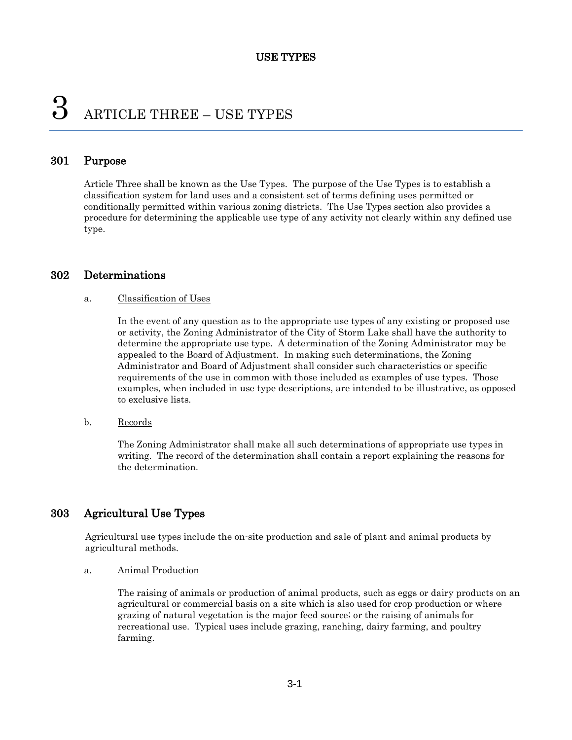# 3 ARTICLE THREE – USE TYPES

# 301 Purpose

Article Three shall be known as the Use Types. The purpose of the Use Types is to establish a classification system for land uses and a consistent set of terms defining uses permitted or conditionally permitted within various zoning districts. The Use Types section also provides a procedure for determining the applicable use type of any activity not clearly within any defined use type.

# 302 Determinations

#### a. Classification of Uses

In the event of any question as to the appropriate use types of any existing or proposed use or activity, the Zoning Administrator of the City of Storm Lake shall have the authority to determine the appropriate use type. A determination of the Zoning Administrator may be appealed to the Board of Adjustment. In making such determinations, the Zoning Administrator and Board of Adjustment shall consider such characteristics or specific requirements of the use in common with those included as examples of use types. Those examples, when included in use type descriptions, are intended to be illustrative, as opposed to exclusive lists.

#### b. Records

The Zoning Administrator shall make all such determinations of appropriate use types in writing. The record of the determination shall contain a report explaining the reasons for the determination.

# 303 Agricultural Use Types

Agricultural use types include the on-site production and sale of plant and animal products by agricultural methods.

#### a. Animal Production

The raising of animals or production of animal products, such as eggs or dairy products on an agricultural or commercial basis on a site which is also used for crop production or where grazing of natural vegetation is the major feed source; or the raising of animals for recreational use. Typical uses include grazing, ranching, dairy farming, and poultry farming.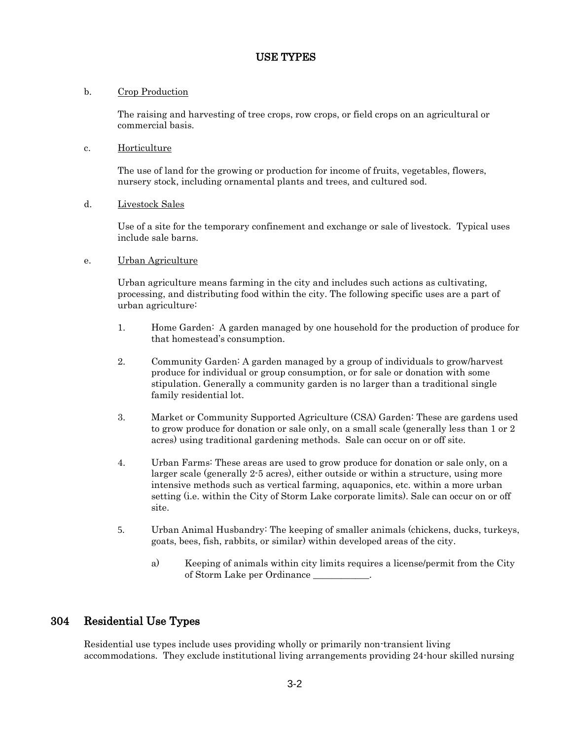# b. Crop Production

The raising and harvesting of tree crops, row crops, or field crops on an agricultural or commercial basis.

### c. Horticulture

The use of land for the growing or production for income of fruits, vegetables, flowers, nursery stock, including ornamental plants and trees, and cultured sod.

# d. Livestock Sales

Use of a site for the temporary confinement and exchange or sale of livestock. Typical uses include sale barns.

# e. Urban Agriculture

Urban agriculture means farming in the city and includes such actions as cultivating, processing, and distributing food within the city. The following specific uses are a part of urban agriculture:

- 1. Home Garden: A garden managed by one household for the production of produce for that homestead's consumption.
- 2. Community Garden: A garden managed by a group of individuals to grow/harvest produce for individual or group consumption, or for sale or donation with some stipulation. Generally a community garden is no larger than a traditional single family residential lot.
- 3. Market or Community Supported Agriculture (CSA) Garden: These are gardens used to grow produce for donation or sale only, on a small scale (generally less than 1 or 2 acres) using traditional gardening methods. Sale can occur on or off site.
- 4. Urban Farms: These areas are used to grow produce for donation or sale only, on a larger scale (generally 2-5 acres), either outside or within a structure, using more intensive methods such as vertical farming, aquaponics, etc. within a more urban setting (i.e. within the City of Storm Lake corporate limits). Sale can occur on or off site.
- 5. Urban Animal Husbandry: The keeping of smaller animals (chickens, ducks, turkeys, goats, bees, fish, rabbits, or similar) within developed areas of the city.
	- a) Keeping of animals within city limits requires a license/permit from the City of Storm Lake per Ordinance \_\_\_\_\_\_\_\_\_\_\_\_.

# 304 Residential Use Types

Residential use types include uses providing wholly or primarily non-transient living accommodations. They exclude institutional living arrangements providing 24-hour skilled nursing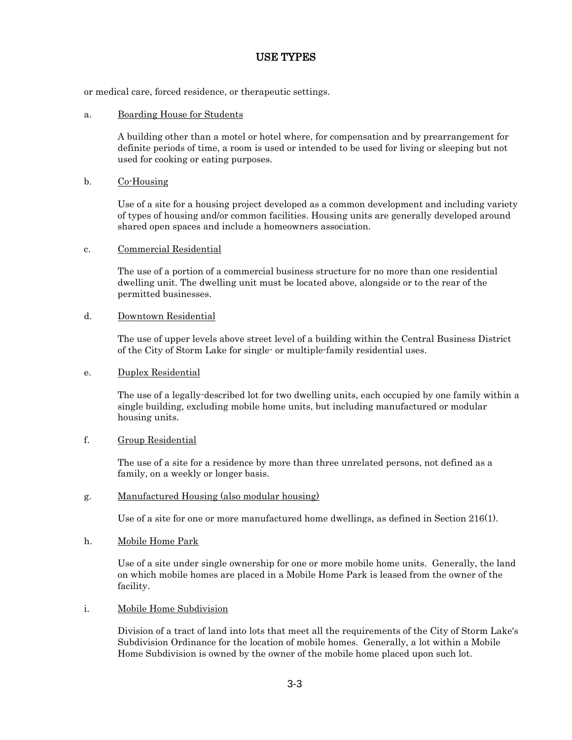or medical care, forced residence, or therapeutic settings.

### a. Boarding House for Students

A building other than a motel or hotel where, for compensation and by prearrangement for definite periods of time, a room is used or intended to be used for living or sleeping but not used for cooking or eating purposes.

# b. Co-Housing

Use of a site for a housing project developed as a common development and including variety of types of housing and/or common facilities. Housing units are generally developed around shared open spaces and include a homeowners association.

c. Commercial Residential

The use of a portion of a commercial business structure for no more than one residential dwelling unit. The dwelling unit must be located above, alongside or to the rear of the permitted businesses.

# d. Downtown Residential

The use of upper levels above street level of a building within the Central Business District of the City of Storm Lake for single- or multiple-family residential uses.

### e. Duplex Residential

The use of a legally-described lot for two dwelling units, each occupied by one family within a single building, excluding mobile home units, but including manufactured or modular housing units.

# f. Group Residential

The use of a site for a residence by more than three unrelated persons, not defined as a family, on a weekly or longer basis.

#### g. Manufactured Housing (also modular housing)

Use of a site for one or more manufactured home dwellings, as defined in Section 216(1).

#### h. Mobile Home Park

Use of a site under single ownership for one or more mobile home units. Generally, the land on which mobile homes are placed in a Mobile Home Park is leased from the owner of the facility.

#### i. Mobile Home Subdivision

Division of a tract of land into lots that meet all the requirements of the City of Storm Lake's Subdivision Ordinance for the location of mobile homes. Generally, a lot within a Mobile Home Subdivision is owned by the owner of the mobile home placed upon such lot.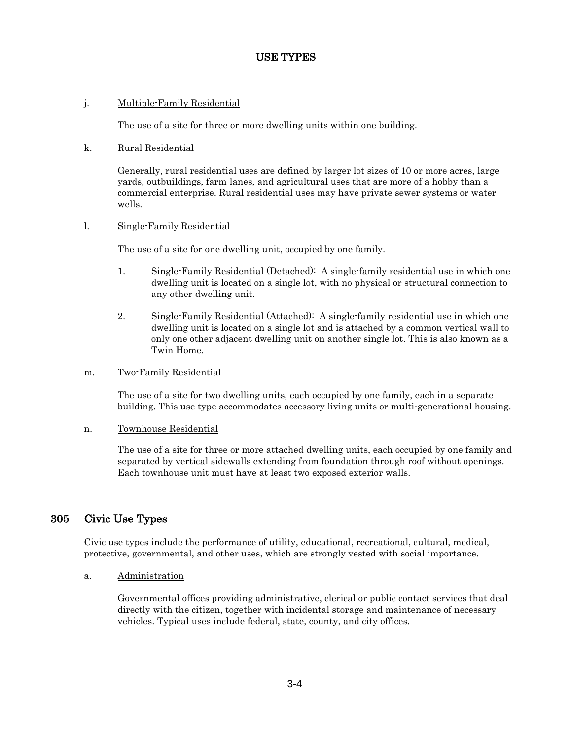# j. Multiple-Family Residential

The use of a site for three or more dwelling units within one building.

### k. Rural Residential

Generally, rural residential uses are defined by larger lot sizes of 10 or more acres, large yards, outbuildings, farm lanes, and agricultural uses that are more of a hobby than a commercial enterprise. Rural residential uses may have private sewer systems or water wells.

# l. Single-Family Residential

The use of a site for one dwelling unit, occupied by one family.

- 1. Single-Family Residential (Detached): A single-family residential use in which one dwelling unit is located on a single lot, with no physical or structural connection to any other dwelling unit.
- 2. Single-Family Residential (Attached): A single-family residential use in which one dwelling unit is located on a single lot and is attached by a common vertical wall to only one other adjacent dwelling unit on another single lot. This is also known as a Twin Home.

#### m. Two-Family Residential

The use of a site for two dwelling units, each occupied by one family, each in a separate building. This use type accommodates accessory living units or multi-generational housing.

#### n. Townhouse Residential

The use of a site for three or more attached dwelling units, each occupied by one family and separated by vertical sidewalls extending from foundation through roof without openings. Each townhouse unit must have at least two exposed exterior walls.

# 305 Civic Use Types

Civic use types include the performance of utility, educational, recreational, cultural, medical, protective, governmental, and other uses, which are strongly vested with social importance.

#### a. Administration

Governmental offices providing administrative, clerical or public contact services that deal directly with the citizen, together with incidental storage and maintenance of necessary vehicles. Typical uses include federal, state, county, and city offices.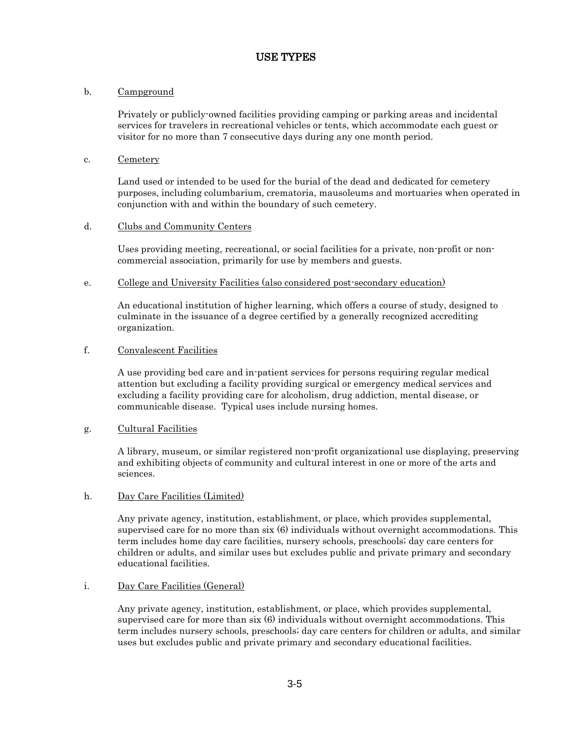# b. Campground

Privately or publicly-owned facilities providing camping or parking areas and incidental services for travelers in recreational vehicles or tents, which accommodate each guest or visitor for no more than 7 consecutive days during any one month period.

### c. Cemetery

Land used or intended to be used for the burial of the dead and dedicated for cemetery purposes, including columbarium, crematoria, mausoleums and mortuaries when operated in conjunction with and within the boundary of such cemetery.

# d. Clubs and Community Centers

Uses providing meeting, recreational, or social facilities for a private, non-profit or noncommercial association, primarily for use by members and guests.

# e. College and University Facilities (also considered post-secondary education)

An educational institution of higher learning, which offers a course of study, designed to culminate in the issuance of a degree certified by a generally recognized accrediting organization.

# f. Convalescent Facilities

A use providing bed care and in-patient services for persons requiring regular medical attention but excluding a facility providing surgical or emergency medical services and excluding a facility providing care for alcoholism, drug addiction, mental disease, or communicable disease. Typical uses include nursing homes.

# g. Cultural Facilities

A library, museum, or similar registered non-profit organizational use displaying, preserving and exhibiting objects of community and cultural interest in one or more of the arts and sciences.

#### h. Day Care Facilities (Limited)

Any private agency, institution, establishment, or place, which provides supplemental, supervised care for no more than six (6) individuals without overnight accommodations. This term includes home day care facilities, nursery schools, preschools; day care centers for children or adults, and similar uses but excludes public and private primary and secondary educational facilities.

#### i. Day Care Facilities (General)

Any private agency, institution, establishment, or place, which provides supplemental, supervised care for more than six (6) individuals without overnight accommodations. This term includes nursery schools, preschools; day care centers for children or adults, and similar uses but excludes public and private primary and secondary educational facilities.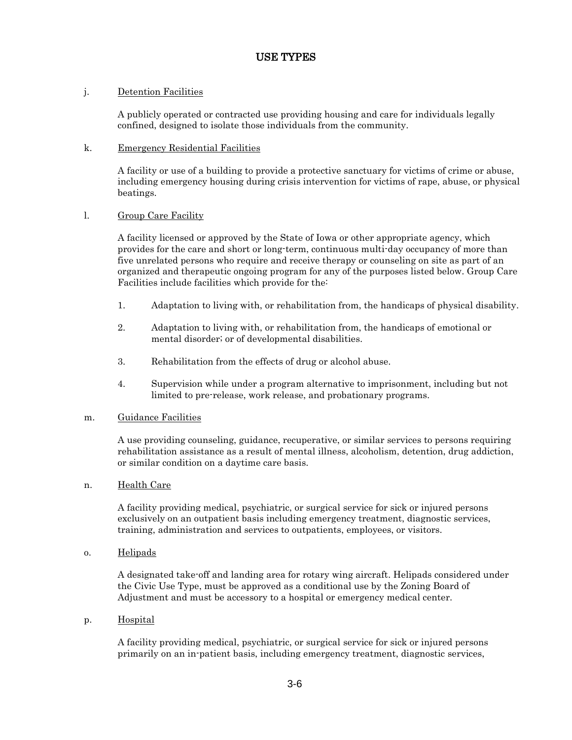# j. Detention Facilities

A publicly operated or contracted use providing housing and care for individuals legally confined, designed to isolate those individuals from the community.

# k. Emergency Residential Facilities

A facility or use of a building to provide a protective sanctuary for victims of crime or abuse, including emergency housing during crisis intervention for victims of rape, abuse, or physical beatings.

# l. Group Care Facility

A facility licensed or approved by the State of Iowa or other appropriate agency, which provides for the care and short or long-term, continuous multi-day occupancy of more than five unrelated persons who require and receive therapy or counseling on site as part of an organized and therapeutic ongoing program for any of the purposes listed below. Group Care Facilities include facilities which provide for the:

- 1. Adaptation to living with, or rehabilitation from, the handicaps of physical disability.
- 2. Adaptation to living with, or rehabilitation from, the handicaps of emotional or mental disorder; or of developmental disabilities.
- 3. Rehabilitation from the effects of drug or alcohol abuse.
- 4. Supervision while under a program alternative to imprisonment, including but not limited to pre-release, work release, and probationary programs.

# m. Guidance Facilities

A use providing counseling, guidance, recuperative, or similar services to persons requiring rehabilitation assistance as a result of mental illness, alcoholism, detention, drug addiction, or similar condition on a daytime care basis.

# n. Health Care

A facility providing medical, psychiatric, or surgical service for sick or injured persons exclusively on an outpatient basis including emergency treatment, diagnostic services, training, administration and services to outpatients, employees, or visitors.

o. Helipads

A designated take-off and landing area for rotary wing aircraft. Helipads considered under the Civic Use Type, must be approved as a conditional use by the Zoning Board of Adjustment and must be accessory to a hospital or emergency medical center.

p. Hospital

A facility providing medical, psychiatric, or surgical service for sick or injured persons primarily on an in-patient basis, including emergency treatment, diagnostic services,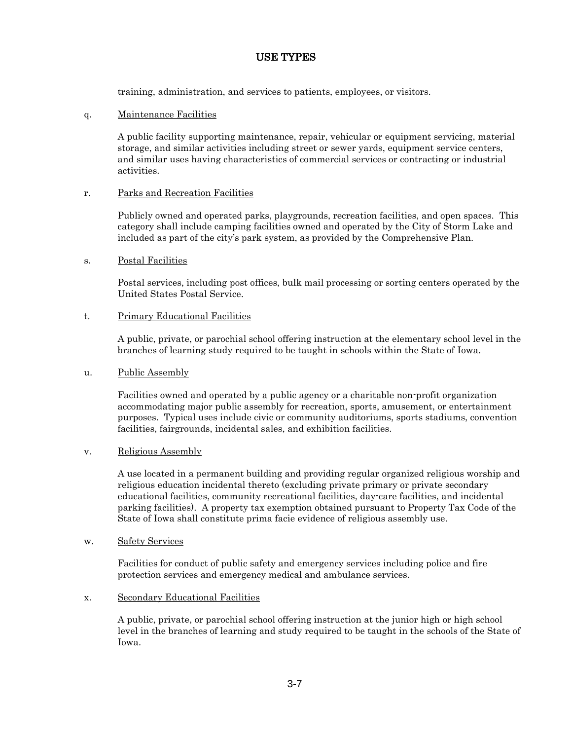training, administration, and services to patients, employees, or visitors.

q. Maintenance Facilities

A public facility supporting maintenance, repair, vehicular or equipment servicing, material storage, and similar activities including street or sewer yards, equipment service centers, and similar uses having characteristics of commercial services or contracting or industrial activities.

# r. Parks and Recreation Facilities

Publicly owned and operated parks, playgrounds, recreation facilities, and open spaces. This category shall include camping facilities owned and operated by the City of Storm Lake and included as part of the city's park system, as provided by the Comprehensive Plan.

# s. Postal Facilities

Postal services, including post offices, bulk mail processing or sorting centers operated by the United States Postal Service.

# t. Primary Educational Facilities

A public, private, or parochial school offering instruction at the elementary school level in the branches of learning study required to be taught in schools within the State of Iowa.

### u. Public Assembly

Facilities owned and operated by a public agency or a charitable non-profit organization accommodating major public assembly for recreation, sports, amusement, or entertainment purposes. Typical uses include civic or community auditoriums, sports stadiums, convention facilities, fairgrounds, incidental sales, and exhibition facilities.

#### v. Religious Assembly

A use located in a permanent building and providing regular organized religious worship and religious education incidental thereto (excluding private primary or private secondary educational facilities, community recreational facilities, day-care facilities, and incidental parking facilities). A property tax exemption obtained pursuant to Property Tax Code of the State of Iowa shall constitute prima facie evidence of religious assembly use.

w. Safety Services

Facilities for conduct of public safety and emergency services including police and fire protection services and emergency medical and ambulance services.

#### x. Secondary Educational Facilities

A public, private, or parochial school offering instruction at the junior high or high school level in the branches of learning and study required to be taught in the schools of the State of Iowa.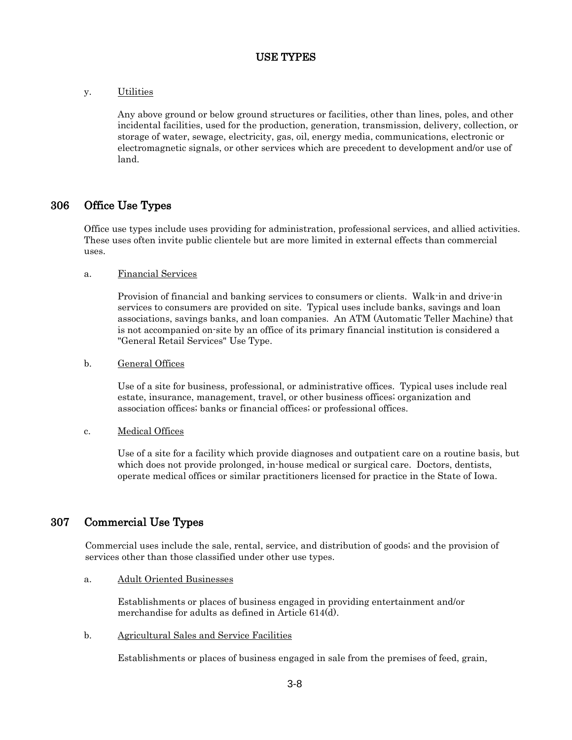# y. Utilities

Any above ground or below ground structures or facilities, other than lines, poles, and other incidental facilities, used for the production, generation, transmission, delivery, collection, or storage of water, sewage, electricity, gas, oil, energy media, communications, electronic or electromagnetic signals, or other services which are precedent to development and/or use of land.

# 306 Office Use Types

Office use types include uses providing for administration, professional services, and allied activities. These uses often invite public clientele but are more limited in external effects than commercial uses.

# a. Financial Services

Provision of financial and banking services to consumers or clients. Walk-in and drive-in services to consumers are provided on site. Typical uses include banks, savings and loan associations, savings banks, and loan companies. An ATM (Automatic Teller Machine) that is not accompanied on-site by an office of its primary financial institution is considered a "General Retail Services" Use Type.

# b. General Offices

Use of a site for business, professional, or administrative offices. Typical uses include real estate, insurance, management, travel, or other business offices; organization and association offices; banks or financial offices; or professional offices.

# c. Medical Offices

Use of a site for a facility which provide diagnoses and outpatient care on a routine basis, but which does not provide prolonged, in-house medical or surgical care. Doctors, dentists, operate medical offices or similar practitioners licensed for practice in the State of Iowa.

# 307 Commercial Use Types

Commercial uses include the sale, rental, service, and distribution of goods; and the provision of services other than those classified under other use types.

# a. Adult Oriented Businesses

Establishments or places of business engaged in providing entertainment and/or merchandise for adults as defined in Article 614(d).

# b. Agricultural Sales and Service Facilities

Establishments or places of business engaged in sale from the premises of feed, grain,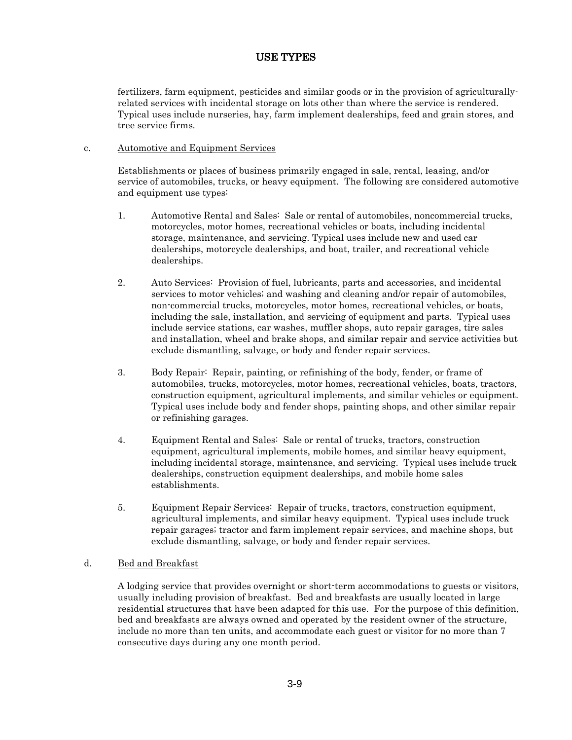fertilizers, farm equipment, pesticides and similar goods or in the provision of agriculturallyrelated services with incidental storage on lots other than where the service is rendered. Typical uses include nurseries, hay, farm implement dealerships, feed and grain stores, and tree service firms.

# c. Automotive and Equipment Services

Establishments or places of business primarily engaged in sale, rental, leasing, and/or service of automobiles, trucks, or heavy equipment. The following are considered automotive and equipment use types:

- 1. Automotive Rental and Sales: Sale or rental of automobiles, noncommercial trucks, motorcycles, motor homes, recreational vehicles or boats, including incidental storage, maintenance, and servicing. Typical uses include new and used car dealerships, motorcycle dealerships, and boat, trailer, and recreational vehicle dealerships.
- 2. Auto Services: Provision of fuel, lubricants, parts and accessories, and incidental services to motor vehicles; and washing and cleaning and/or repair of automobiles, non-commercial trucks, motorcycles, motor homes, recreational vehicles, or boats, including the sale, installation, and servicing of equipment and parts. Typical uses include service stations, car washes, muffler shops, auto repair garages, tire sales and installation, wheel and brake shops, and similar repair and service activities but exclude dismantling, salvage, or body and fender repair services.
- 3. Body Repair: Repair, painting, or refinishing of the body, fender, or frame of automobiles, trucks, motorcycles, motor homes, recreational vehicles, boats, tractors, construction equipment, agricultural implements, and similar vehicles or equipment. Typical uses include body and fender shops, painting shops, and other similar repair or refinishing garages.
- 4. Equipment Rental and Sales: Sale or rental of trucks, tractors, construction equipment, agricultural implements, mobile homes, and similar heavy equipment, including incidental storage, maintenance, and servicing. Typical uses include truck dealerships, construction equipment dealerships, and mobile home sales establishments.
- 5. Equipment Repair Services: Repair of trucks, tractors, construction equipment, agricultural implements, and similar heavy equipment. Typical uses include truck repair garages; tractor and farm implement repair services, and machine shops, but exclude dismantling, salvage, or body and fender repair services.

# d. Bed and Breakfast

A lodging service that provides overnight or short-term accommodations to guests or visitors, usually including provision of breakfast. Bed and breakfasts are usually located in large residential structures that have been adapted for this use. For the purpose of this definition, bed and breakfasts are always owned and operated by the resident owner of the structure, include no more than ten units, and accommodate each guest or visitor for no more than 7 consecutive days during any one month period.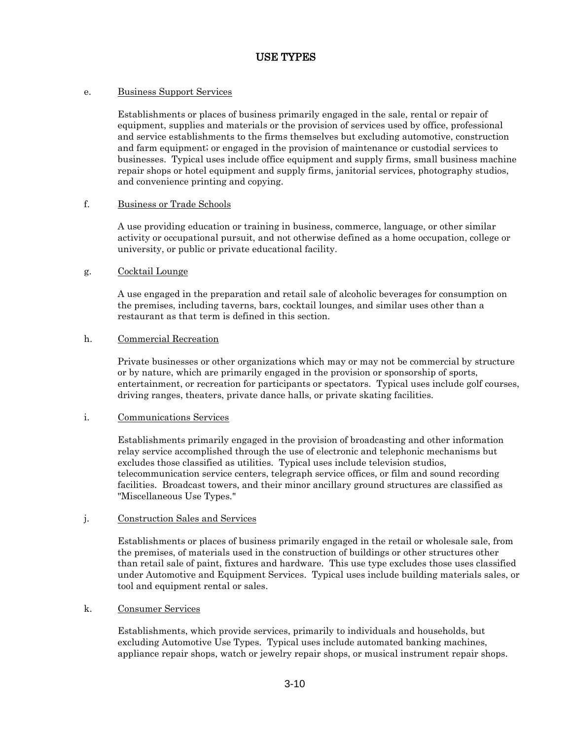### e. Business Support Services

Establishments or places of business primarily engaged in the sale, rental or repair of equipment, supplies and materials or the provision of services used by office, professional and service establishments to the firms themselves but excluding automotive, construction and farm equipment; or engaged in the provision of maintenance or custodial services to businesses. Typical uses include office equipment and supply firms, small business machine repair shops or hotel equipment and supply firms, janitorial services, photography studios, and convenience printing and copying.

#### f. Business or Trade Schools

A use providing education or training in business, commerce, language, or other similar activity or occupational pursuit, and not otherwise defined as a home occupation, college or university, or public or private educational facility.

#### g. Cocktail Lounge

A use engaged in the preparation and retail sale of alcoholic beverages for consumption on the premises, including taverns, bars, cocktail lounges, and similar uses other than a restaurant as that term is defined in this section.

#### h. Commercial Recreation

Private businesses or other organizations which may or may not be commercial by structure or by nature, which are primarily engaged in the provision or sponsorship of sports, entertainment, or recreation for participants or spectators. Typical uses include golf courses, driving ranges, theaters, private dance halls, or private skating facilities.

#### i. Communications Services

Establishments primarily engaged in the provision of broadcasting and other information relay service accomplished through the use of electronic and telephonic mechanisms but excludes those classified as utilities. Typical uses include television studios, telecommunication service centers, telegraph service offices, or film and sound recording facilities. Broadcast towers, and their minor ancillary ground structures are classified as "Miscellaneous Use Types."

#### j. Construction Sales and Services

Establishments or places of business primarily engaged in the retail or wholesale sale, from the premises, of materials used in the construction of buildings or other structures other than retail sale of paint, fixtures and hardware. This use type excludes those uses classified under Automotive and Equipment Services. Typical uses include building materials sales, or tool and equipment rental or sales.

#### k. Consumer Services

Establishments, which provide services, primarily to individuals and households, but excluding Automotive Use Types. Typical uses include automated banking machines, appliance repair shops, watch or jewelry repair shops, or musical instrument repair shops.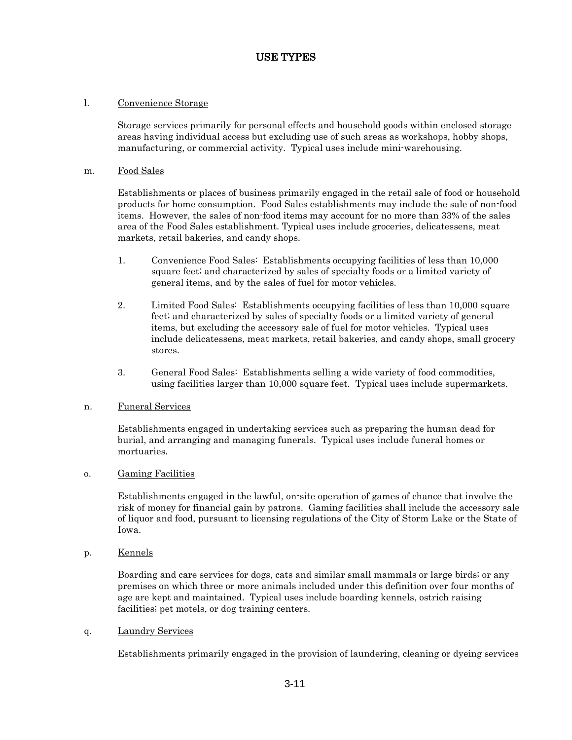### l. Convenience Storage

Storage services primarily for personal effects and household goods within enclosed storage areas having individual access but excluding use of such areas as workshops, hobby shops, manufacturing, or commercial activity. Typical uses include mini-warehousing.

#### m. Food Sales

Establishments or places of business primarily engaged in the retail sale of food or household products for home consumption. Food Sales establishments may include the sale of non-food items. However, the sales of non-food items may account for no more than 33% of the sales area of the Food Sales establishment. Typical uses include groceries, delicatessens, meat markets, retail bakeries, and candy shops.

- 1. Convenience Food Sales: Establishments occupying facilities of less than 10,000 square feet; and characterized by sales of specialty foods or a limited variety of general items, and by the sales of fuel for motor vehicles.
- 2. Limited Food Sales: Establishments occupying facilities of less than 10,000 square feet; and characterized by sales of specialty foods or a limited variety of general items, but excluding the accessory sale of fuel for motor vehicles. Typical uses include delicatessens, meat markets, retail bakeries, and candy shops, small grocery stores.
- 3. General Food Sales: Establishments selling a wide variety of food commodities, using facilities larger than 10,000 square feet. Typical uses include supermarkets.

# n. Funeral Services

Establishments engaged in undertaking services such as preparing the human dead for burial, and arranging and managing funerals. Typical uses include funeral homes or mortuaries.

#### o. Gaming Facilities

Establishments engaged in the lawful, on-site operation of games of chance that involve the risk of money for financial gain by patrons. Gaming facilities shall include the accessory sale of liquor and food, pursuant to licensing regulations of the City of Storm Lake or the State of Iowa.

p. Kennels

Boarding and care services for dogs, cats and similar small mammals or large birds; or any premises on which three or more animals included under this definition over four months of age are kept and maintained. Typical uses include boarding kennels, ostrich raising facilities; pet motels, or dog training centers.

#### q. Laundry Services

Establishments primarily engaged in the provision of laundering, cleaning or dyeing services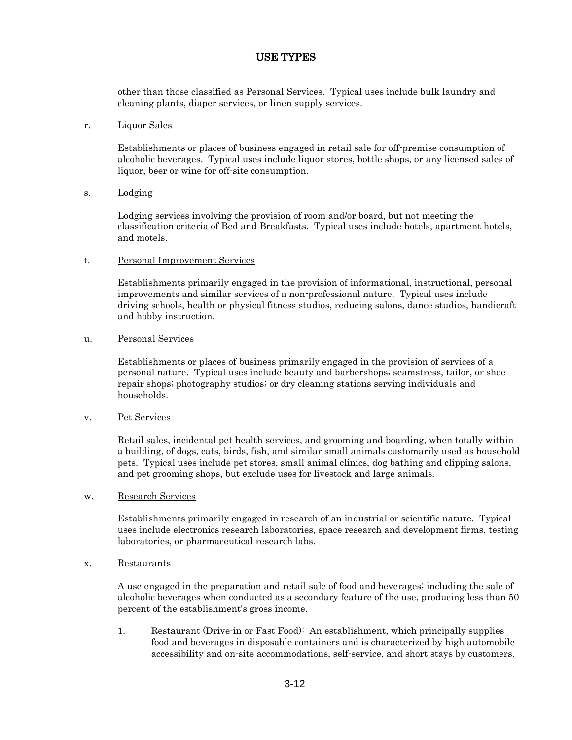other than those classified as Personal Services. Typical uses include bulk laundry and cleaning plants, diaper services, or linen supply services.

#### r. Liquor Sales

Establishments or places of business engaged in retail sale for off-premise consumption of alcoholic beverages. Typical uses include liquor stores, bottle shops, or any licensed sales of liquor, beer or wine for off-site consumption.

# s. Lodging

Lodging services involving the provision of room and/or board, but not meeting the classification criteria of Bed and Breakfasts. Typical uses include hotels, apartment hotels, and motels.

# t. Personal Improvement Services

Establishments primarily engaged in the provision of informational, instructional, personal improvements and similar services of a non-professional nature. Typical uses include driving schools, health or physical fitness studios, reducing salons, dance studios, handicraft and hobby instruction.

# u. Personal Services

Establishments or places of business primarily engaged in the provision of services of a personal nature. Typical uses include beauty and barbershops; seamstress, tailor, or shoe repair shops; photography studios; or dry cleaning stations serving individuals and households.

#### v. Pet Services

Retail sales, incidental pet health services, and grooming and boarding, when totally within a building, of dogs, cats, birds, fish, and similar small animals customarily used as household pets. Typical uses include pet stores, small animal clinics, dog bathing and clipping salons, and pet grooming shops, but exclude uses for livestock and large animals.

#### w. Research Services

Establishments primarily engaged in research of an industrial or scientific nature. Typical uses include electronics research laboratories, space research and development firms, testing laboratories, or pharmaceutical research labs.

#### x. Restaurants

A use engaged in the preparation and retail sale of food and beverages; including the sale of alcoholic beverages when conducted as a secondary feature of the use, producing less than 50 percent of the establishment's gross income.

1. Restaurant (Drive-in or Fast Food): An establishment, which principally supplies food and beverages in disposable containers and is characterized by high automobile accessibility and on-site accommodations, self-service, and short stays by customers.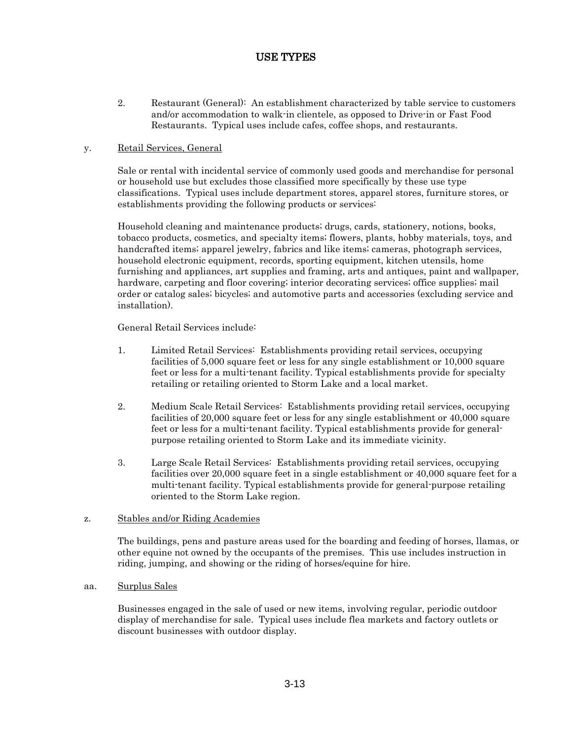2. Restaurant (General): An establishment characterized by table service to customers and/or accommodation to walk-in clientele, as opposed to Drive-in or Fast Food Restaurants. Typical uses include cafes, coffee shops, and restaurants.

# y. Retail Services, General

Sale or rental with incidental service of commonly used goods and merchandise for personal or household use but excludes those classified more specifically by these use type classifications. Typical uses include department stores, apparel stores, furniture stores, or establishments providing the following products or services:

Household cleaning and maintenance products; drugs, cards, stationery, notions, books, tobacco products, cosmetics, and specialty items; flowers, plants, hobby materials, toys, and handcrafted items; apparel jewelry, fabrics and like items; cameras, photograph services, household electronic equipment, records, sporting equipment, kitchen utensils, home furnishing and appliances, art supplies and framing, arts and antiques, paint and wallpaper, hardware, carpeting and floor covering; interior decorating services; office supplies; mail order or catalog sales; bicycles; and automotive parts and accessories (excluding service and installation).

General Retail Services include:

- 1. Limited Retail Services: Establishments providing retail services, occupying facilities of 5,000 square feet or less for any single establishment or 10,000 square feet or less for a multi-tenant facility. Typical establishments provide for specialty retailing or retailing oriented to Storm Lake and a local market.
- 2. Medium Scale Retail Services: Establishments providing retail services, occupying facilities of 20,000 square feet or less for any single establishment or 40,000 square feet or less for a multi-tenant facility. Typical establishments provide for generalpurpose retailing oriented to Storm Lake and its immediate vicinity.
- 3. Large Scale Retail Services: Establishments providing retail services, occupying facilities over 20,000 square feet in a single establishment or 40,000 square feet for a multi-tenant facility. Typical establishments provide for general-purpose retailing oriented to the Storm Lake region.

# z. Stables and/or Riding Academies

The buildings, pens and pasture areas used for the boarding and feeding of horses, llamas, or other equine not owned by the occupants of the premises. This use includes instruction in riding, jumping, and showing or the riding of horses/equine for hire.

#### aa. Surplus Sales

Businesses engaged in the sale of used or new items, involving regular, periodic outdoor display of merchandise for sale. Typical uses include flea markets and factory outlets or discount businesses with outdoor display.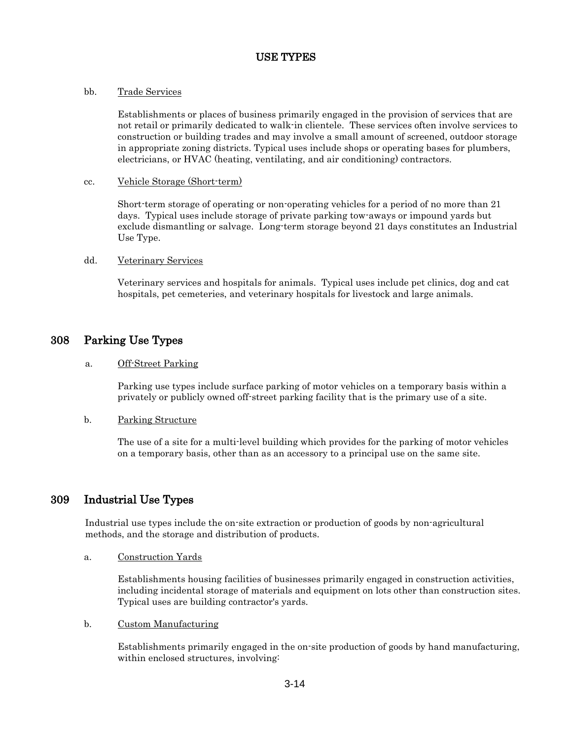# bb. Trade Services

Establishments or places of business primarily engaged in the provision of services that are not retail or primarily dedicated to walk-in clientele. These services often involve services to construction or building trades and may involve a small amount of screened, outdoor storage in appropriate zoning districts. Typical uses include shops or operating bases for plumbers, electricians, or HVAC (heating, ventilating, and air conditioning) contractors.

### cc. Vehicle Storage (Short-term)

Short-term storage of operating or non-operating vehicles for a period of no more than 21 days. Typical uses include storage of private parking tow-aways or impound yards but exclude dismantling or salvage. Long-term storage beyond 21 days constitutes an Industrial Use Type.

# dd. Veterinary Services

Veterinary services and hospitals for animals. Typical uses include pet clinics, dog and cat hospitals, pet cemeteries, and veterinary hospitals for livestock and large animals.

# 308 Parking Use Types

# a. Off-Street Parking

Parking use types include surface parking of motor vehicles on a temporary basis within a privately or publicly owned off-street parking facility that is the primary use of a site.

# b. Parking Structure

The use of a site for a multi-level building which provides for the parking of motor vehicles on a temporary basis, other than as an accessory to a principal use on the same site.

# 309 Industrial Use Types

Industrial use types include the on-site extraction or production of goods by non-agricultural methods, and the storage and distribution of products.

#### a. Construction Yards

Establishments housing facilities of businesses primarily engaged in construction activities, including incidental storage of materials and equipment on lots other than construction sites. Typical uses are building contractor's yards.

#### b. Custom Manufacturing

Establishments primarily engaged in the on-site production of goods by hand manufacturing, within enclosed structures, involving: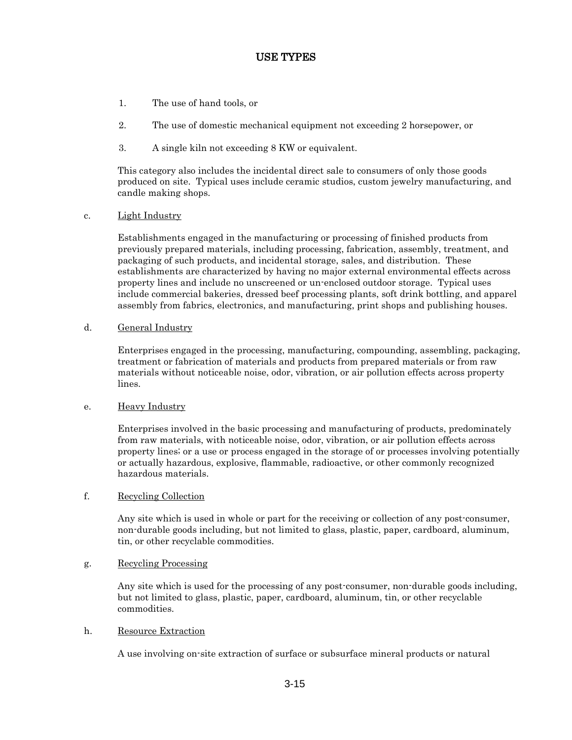- 1. The use of hand tools, or
- 2. The use of domestic mechanical equipment not exceeding 2 horsepower, or
- 3. A single kiln not exceeding 8 KW or equivalent.

This category also includes the incidental direct sale to consumers of only those goods produced on site. Typical uses include ceramic studios, custom jewelry manufacturing, and candle making shops.

c. Light Industry

Establishments engaged in the manufacturing or processing of finished products from previously prepared materials, including processing, fabrication, assembly, treatment, and packaging of such products, and incidental storage, sales, and distribution. These establishments are characterized by having no major external environmental effects across property lines and include no unscreened or un-enclosed outdoor storage. Typical uses include commercial bakeries, dressed beef processing plants, soft drink bottling, and apparel assembly from fabrics, electronics, and manufacturing, print shops and publishing houses.

d. General Industry

Enterprises engaged in the processing, manufacturing, compounding, assembling, packaging, treatment or fabrication of materials and products from prepared materials or from raw materials without noticeable noise, odor, vibration, or air pollution effects across property lines.

#### e. Heavy Industry

Enterprises involved in the basic processing and manufacturing of products, predominately from raw materials, with noticeable noise, odor, vibration, or air pollution effects across property lines; or a use or process engaged in the storage of or processes involving potentially or actually hazardous, explosive, flammable, radioactive, or other commonly recognized hazardous materials.

#### f. Recycling Collection

Any site which is used in whole or part for the receiving or collection of any post-consumer, non-durable goods including, but not limited to glass, plastic, paper, cardboard, aluminum, tin, or other recyclable commodities.

# g. Recycling Processing

Any site which is used for the processing of any post-consumer, non-durable goods including, but not limited to glass, plastic, paper, cardboard, aluminum, tin, or other recyclable commodities.

#### h. Resource Extraction

A use involving on-site extraction of surface or subsurface mineral products or natural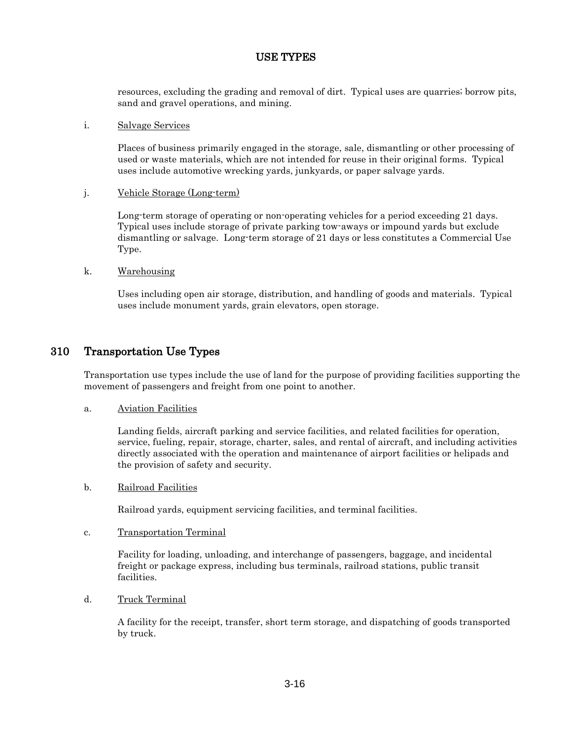resources, excluding the grading and removal of dirt. Typical uses are quarries; borrow pits, sand and gravel operations, and mining.

#### i. Salvage Services

Places of business primarily engaged in the storage, sale, dismantling or other processing of used or waste materials, which are not intended for reuse in their original forms. Typical uses include automotive wrecking yards, junkyards, or paper salvage yards.

#### j. Vehicle Storage (Long-term)

Long-term storage of operating or non-operating vehicles for a period exceeding 21 days. Typical uses include storage of private parking tow-aways or impound yards but exclude dismantling or salvage. Long-term storage of 21 days or less constitutes a Commercial Use Type.

#### k. Warehousing

Uses including open air storage, distribution, and handling of goods and materials. Typical uses include monument yards, grain elevators, open storage.

# 310 Transportation Use Types

Transportation use types include the use of land for the purpose of providing facilities supporting the movement of passengers and freight from one point to another.

#### a. Aviation Facilities

Landing fields, aircraft parking and service facilities, and related facilities for operation, service, fueling, repair, storage, charter, sales, and rental of aircraft, and including activities directly associated with the operation and maintenance of airport facilities or helipads and the provision of safety and security.

#### b. Railroad Facilities

Railroad yards, equipment servicing facilities, and terminal facilities.

#### c. Transportation Terminal

Facility for loading, unloading, and interchange of passengers, baggage, and incidental freight or package express, including bus terminals, railroad stations, public transit facilities.

#### d. Truck Terminal

A facility for the receipt, transfer, short term storage, and dispatching of goods transported by truck.